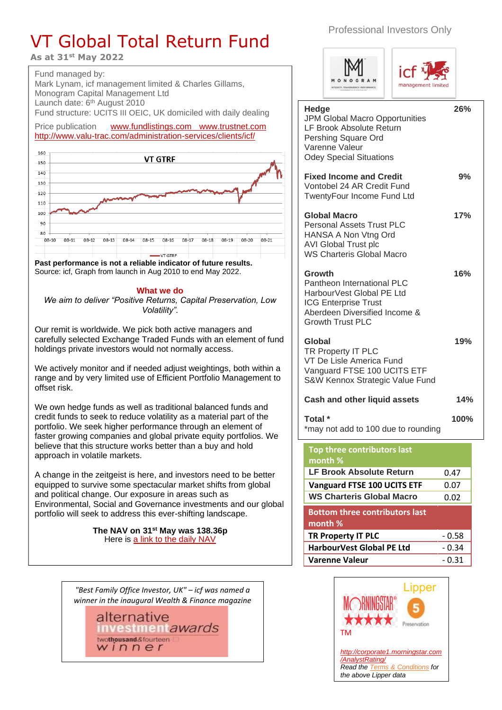## VT Global Total Return Fund

**As at 31st May 2022**

Fund managed by: Mark Lynam, icf management limited & Charles Gillams, Monogram Capital Management Ltd Launch date: 6<sup>th</sup> August 2010 Fund structure: UCITS III OEIC, UK domiciled with daily dealing

Price publication [www.fundlistings.com](http://www.fundlistings.com/) [www.trustnet.com](http://www.trustnet.com/) <http://www.valu-trac.com/administration-services/clients/icf/>



**Past performance is not a reliable indicator of future results.** Source: icf, Graph from launch in Aug 2010 to end May 2022.

## **What we do**

*We aim to deliver "Positive Returns, Capital Preservation, Low Volatility".*

Our remit is worldwide. We pick both active managers and carefully selected Exchange Traded Funds with an element of fund holdings private investors would not normally access.

We actively monitor and if needed adjust weightings, both within a range and by very limited use of Efficient Portfolio Management to offset risk.

We own hedge funds as well as traditional balanced funds and credit funds to seek to reduce volatility as a material part of the portfolio. We seek higher performance through an element of faster growing companies and global private equity portfolios. We believe that this structure works better than a buy and hold approach in volatile markets.

A change in the zeitgeist is here, and investors need to be better equipped to survive some spectacular market shifts from global and political change. Our exposure in areas such as Environmental, Social and Governance investments and our global portfolio will seek to address this ever-shifting landscape.

> **The NAV on 31 st May was 138.36p**  Here is [a link to the daily NAV](https://www.valu-trac.com/administration-services/clients/global/VT%20icf%20Absolute%20Return%20Historical%20NAV.xls)

*"Best Family Office Investor, UK" – icf was named a winner in the inaugural Wealth & Finance magazine* 

> alternative **nvestment**awards twothousand&fourteen winner

Professional Investors Only





| Hedge<br><b>JPM Global Macro Opportunities</b><br>LF Brook Absolute Return<br>Pershing Square Ord<br>Varenne Valeur<br><b>Odey Special Situations</b>        | 26%  |
|--------------------------------------------------------------------------------------------------------------------------------------------------------------|------|
| <b>Fixed Income and Credit</b><br>Vontobel 24 AR Credit Fund<br>TwentyFour Income Fund Ltd                                                                   | 9%   |
| <b>Global Macro</b><br><b>Personal Assets Trust PLC</b><br>HANSA A Non Vtng Ord<br><b>AVI Global Trust plc</b><br><b>WS Charteris Global Macro</b>           | 17%  |
| Growth<br>Pantheon International PLC<br>HarbourVest Global PE Ltd<br><b>ICG Enterprise Trust</b><br>Aberdeen Diversified Income &<br><b>Growth Trust PLC</b> | 16%  |
| Global<br>TR Property IT PLC<br>VT De Lisle America Fund<br>Vanguard FTSE 100 UCITS ETF<br>S&W Kennox Strategic Value Fund                                   | 19%  |
| <b>Cash and other liquid assets</b>                                                                                                                          | 14%  |
| Total *<br>*may not add to 100 due to rounding                                                                                                               | 100% |
| Top three contributors last<br>month %                                                                                                                       |      |
| <b>LF Brook Absolute Return</b>                                                                                                                              | በ 47 |

| .                                               |         |
|-------------------------------------------------|---------|
| <b>LF Brook Absolute Return</b>                 | 0.47    |
| <b>Vanguard FTSE 100 UCITS ETF</b>              | 0.07    |
| <b>WS Charteris Global Macro</b>                | 0.02    |
| <b>Bottom three contributors last</b><br>month% |         |
| <b>TR Property IT PLC</b>                       | - 0.58  |
| HarbourVest Global PE Ltd                       | - 0.34  |
| <b>Varenne Valeur</b>                           | $-0.31$ |